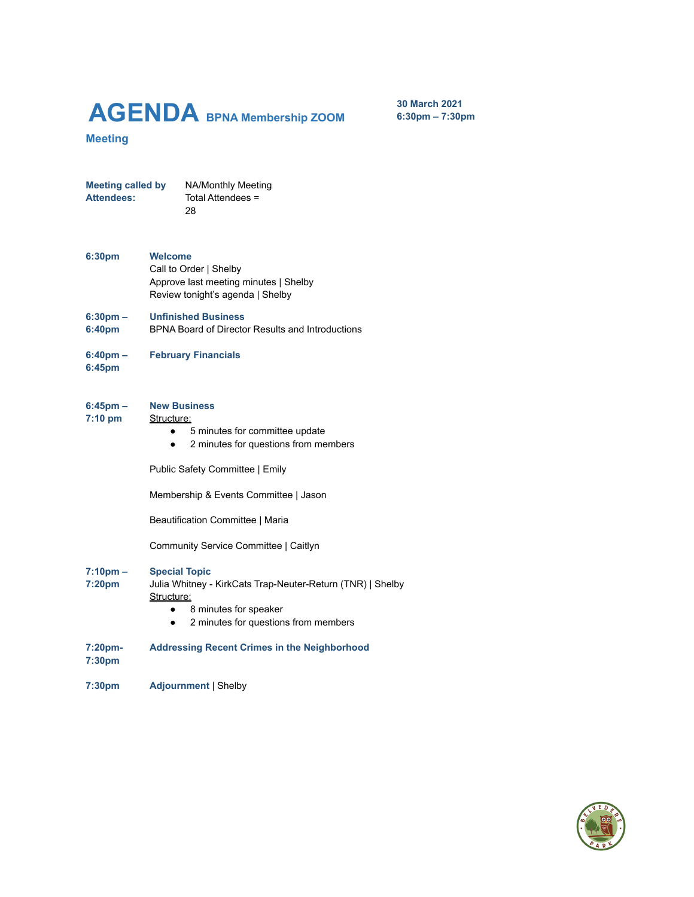# **AGENDA BPNA Membership ZOOM**

**30 March 2021 6:30pm – 7:30pm**

## **Meeting**

**Meeting called by** NA/Monthly Meeting **Attendees:** Total Attendees = 28

- **6:30pm Welcome** Call to Order | Shelby Approve last meeting minutes | Shelby Review tonight's agenda | Shelby
- **6:30pm – Unfinished Business**
- **6:40pm** BPNA Board of Director Results and Introductions
- **6:40pm – February Financials**
- **6:45pm**

#### **6:45pm – New Business**

#### **7:10 pm** Structure:

- 5 minutes for committee update
- 2 minutes for questions from members

Public Safety Committee | Emily

Membership & Events Committee | Jason

Beautification Committee | Maria

Community Service Committee | Caitlyn

#### **7:10pm – Special Topic**

- **7:20pm** Julia Whitney - KirkCats Trap-Neuter-Return (TNR) | Shelby Structure:
	- 8 minutes for speaker
	- 2 minutes for questions from members

#### **7:20pm-Addressing Recent Crimes in the Neighborhood**

- **7:30pm**
- **7:30pm Adjournment** | Shelby

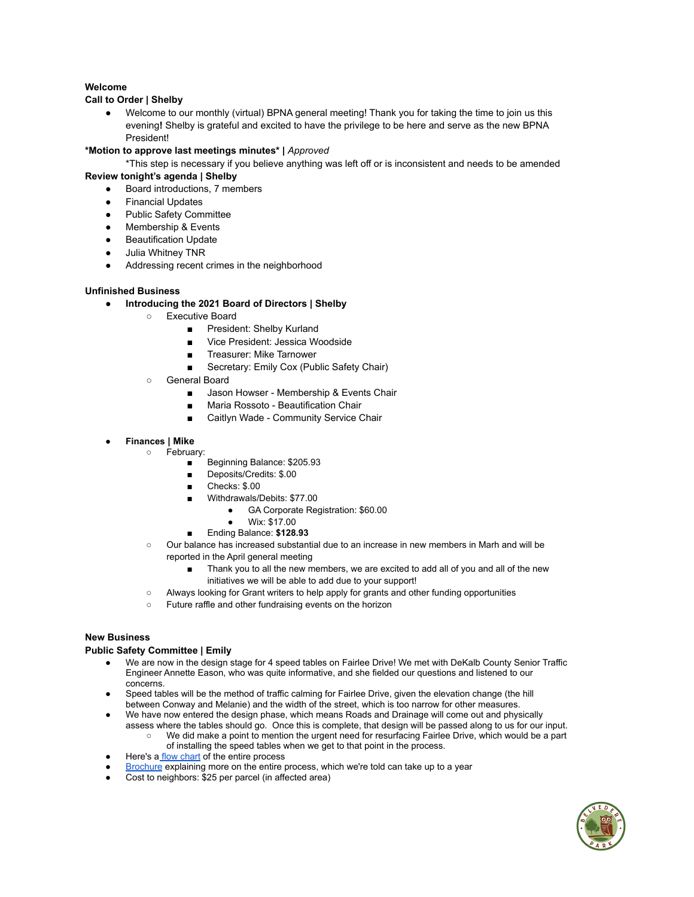## **Welcome**

## **Call to Order | Shelby**

Welcome to our monthly (virtual) BPNA general meeting! Thank you for taking the time to join us this evening**!** Shelby is grateful and excited to have the privilege to be here and serve as the new BPNA President!

#### **\*Motion to approve last meetings minutes\* |** *Approved*

\*This step is necessary if you believe anything was left off or is inconsistent and needs to be amended

## **Review tonight's agenda | Shelby**

- Board introductions, 7 members
- Financial Updates
- Public Safety Committee
- Membership & Events
- Beautification Update
- Julia Whitney TNR
- Addressing recent crimes in the neighborhood

#### **Unfinished Business**

- **Introducing the 2021 Board of Directors | Shelby**
	- Executive Board
		- President: Shelby Kurland
		- Vice President: Jessica Woodside
		- Treasurer: Mike Tarnower
		- Secretary: Emily Cox (Public Safety Chair)
	- General Board
		- Jason Howser Membership & Events Chair
		- Maria Rossoto Beautification Chair
		- Caitlyn Wade Community Service Chair

#### ● **Finances | Mike**

- February:
	- Beginning Balance: \$205.93
	- Deposits/Credits: \$.00
	- Checks: \$.00
	- Withdrawals/Debits: \$77.00
		- GA Corporate Registration: \$60.00
		- Wix: \$17.00
	- Ending Balance: **\$128.93**
	- Our balance has increased substantial due to an increase in new members in Marh and will be reported in the April general meeting
		- Thank you to all the new members, we are excited to add all of you and all of the new initiatives we will be able to add due to your support!
	- Always looking for Grant writers to help apply for grants and other funding opportunities
	- Future raffle and other fundraising events on the horizon

### **New Business**

#### **Public Safety Committee | Emily**

- We are now in the design stage for 4 speed tables on Fairlee Drive! We met with DeKalb County Senior Traffic Engineer Annette Eason, who was quite informative, and she fielded our questions and listened to our concerns.
- Speed tables will be the method of traffic calming for Fairlee Drive, given the elevation change (the hill between Conway and Melanie) and the width of the street, which is too narrow for other measures.
- We have now entered the design phase, which means Roads and Drainage will come out and physically assess where the tables should go. Once this is complete, that design will be passed along to us for our input.
	- We did make a point to mention the urgent need for resurfacing Fairlee Drive, which would be a part of installing the speed tables when we get to that point in the process.
- Here's a flow [chart](https://www.dekalbcountyga.gov/sites/default/files/user328/Traffic%20Calming%20Process%20Flow%20Chart.pdf) of the entire process
- [Brochure](https://www.dekalbcountyga.gov/sites/default/files/users/user3585/Traffic%20Calming%20Brochure.pdf) explaining more on the entire process, which we're told can take up to a year
- Cost to neighbors: \$25 per parcel (in affected area)

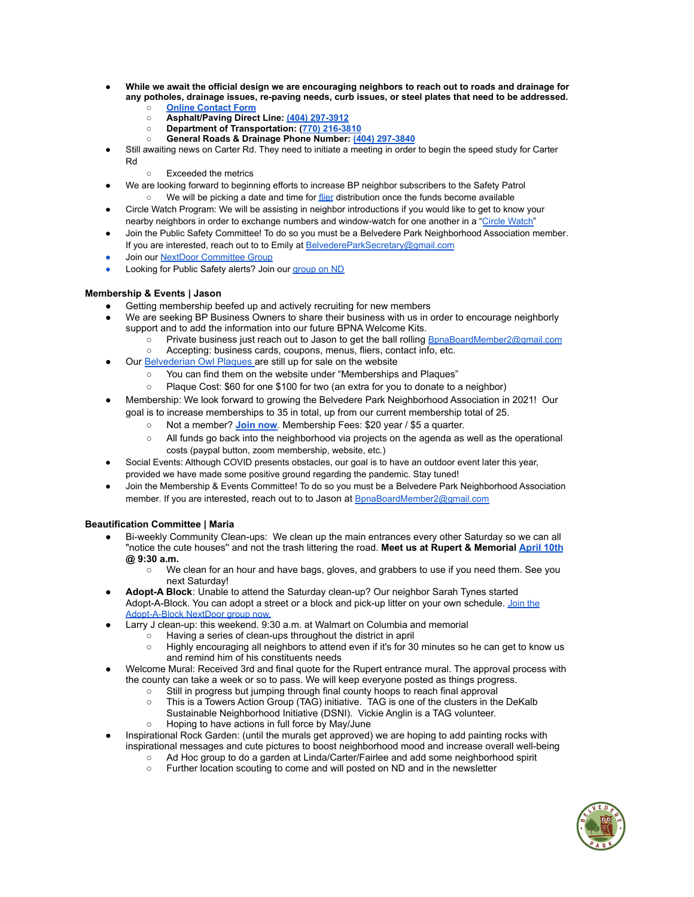- While we await the official design we are encouraging neighbors to reach out to roads and drainage for **any potholes, drainage issues, re-paving needs, curb issues, or steel plates that need to be addressed.**
	- **○ Online [Contact](https://www.dekalbcountyga.gov/roads-drainage-request-assistance) Form**
	- **○ Asphalt/Paving Direct Line: (404) 297-3912**
	- **○ Department of Transportation: (770) 216-3810**
	- **○ General Roads & Drainage Phone Number: (404) 297-3840**
- Still awaiting news on Carter Rd. They need to initiate a meeting in order to begin the speed study for Carter Rd
	- Exceeded the metrics
- We are looking forward to beginning efforts to increase BP neighbor subscribers to the Safety Patrol We will be picking a date and time for [flier](https://docs.google.com/document/d/1u39vjV6l3He5D88XFf-NLkjOHLlrAf5K9xE43tRzFyM/edit) distribution once the funds become available
- Circle Watch Program: We will be assisting in neighbor introductions if you would like to get to know your nearby neighbors in order to exchange numbers and window-watch for one another in a "Circle [Watch"](https://docs.google.com/document/d/1wPSYy-eoS0W1xZaZrgwmN1o9r1cezOyu7XDM7GnzhrY/edit?usp=sharing)
- Join the Public Safety Committee! To do so you must be a Belvedere Park [Neighborhood](https://www.belvederepark.org/association-memberships) Association member. If you are interested, reach out to to Emily at [BelvedereParkSecretary@gmail.com](mailto:BelvedereParkSecretary@gmail.com)
- Join our NextDoor [Committee](https://nextdoor.com/g/rkjpmq5mu/?is=nav_bar) Group
- **Looking for Public Safety alerts? Join our [group](https://nextdoor.com/g/sum4hxfxl/) on ND**

### **Membership & Events | Jason**

- Getting membership beefed up and actively recruiting for new members
- We are seeking BP Business Owners to share their business with us in order to encourage neighborly support and to add the information into our future BPNA Welcome Kits.
	- o Private business just reach out to Jason to get the ball rolling **[BpnaBoardMember2@gmail.com](mailto:bpnaBoardMember2@gmail.com)**
	- Accepting: business cards, coupons, menus, fliers, contact info, etc.
- Our [Belvederian](https://www.belvederepark.org/association-memberships) Owl Plaques are still up for sale on the website
	- You can find them on the website under "Memberships and Plaques"
	- Plaque Cost: \$60 for one \$100 for two (an extra for you to donate to a neighbor)
- Membership: We look forward to growing the Belvedere Park Neighborhood Association in 2021! Our goal is to increase memberships to 35 in total, up from our current membership total of 25.
	- Not a member? **[Join](https://www.belvederepark.org/association-memberships) now**. Membership Fees: \$20 year / \$5 a quarter.
	- All funds go back into the neighborhood via projects on the agenda as well as the operational costs (paypal button, zoom membership, website, etc.)
- Social Events: Although COVID presents obstacles, our goal is to have an outdoor event later this year,
- provided we have made some positive ground regarding the pandemic. Stay tuned!
- Join the Membership & Events Committee! To do so you must be a Belvedere Park [Neighborhood](https://www.belvederepark.org/association-memberships) Association [member](https://www.belvederepark.org/association-memberships). If you are interested, reach out to to Jason at **B[pnaBoardMember2@gmail.com](mailto:bpnaBoardMember2@gmail.com)**

### **Beautification Committee | Maria**

- Bi-weekly [Community](https://nextdoor.com/events/3854432/) Clean-ups: We clean up the main entrances every other Saturday so we can all "notice the cute houses'' and not the trash littering the road. **Meet us at Rupert & Memorial [April](https://nextdoor.com/events/3890725/) 10th @ 9:30 a.m.**
	- We clean for an hour and have bags, gloves, and grabbers to use if you need them. See you next Saturday!
- **Adopt-A Block**: Unable to attend the Saturday clean-up? Our neighbor Sarah Tynes started Adopt-A-Block. You can adopt a street or a block and pick-up litter on your own schedule. [Join](https://nextdoor.com/g/27ctjsifg/?is=nav_bar) the [Adopt-A-Block](https://nextdoor.com/g/27ctjsifg/?is=nav_bar) NextDoor group now.
	- Larry J clean-up: this weekend. 9:30 a.m. at Walmart on Columbia and memorial
		- $\circ$  Having a series of clean-ups throughout the district in april<br>  $\circ$  Highly encouraging all neighbors to attend even if it's for 30
		- Highly encouraging all neighbors to attend even if it's for 30 minutes so he can get to know us and remind him of his constituents needs
- Welcome Mural: Received 3rd and final quote for the Rupert entrance mural. The approval process with the county can take a week or so to pass. We will keep everyone posted as things progress.
	- Still in progress but jumping through final county hoops to reach final approval
	- This is a Towers Action Group (TAG) initiative. TAG is one of the clusters in the DeKalb
	- Sustainable Neighborhood Initiative (DSNI). Vickie Anglin is a TAG volunteer.
	- Hoping to have actions in full force by May/June
- Inspirational Rock Garden: (until the murals get approved) we are hoping to add painting rocks with inspirational messages and cute pictures to boost neighborhood mood and increase overall well-being
	- Ad Hoc group to do a garden at Linda/Carter/Fairlee and add some neighborhood spirit
		- Further location scouting to come and will posted on ND and in the newsletter

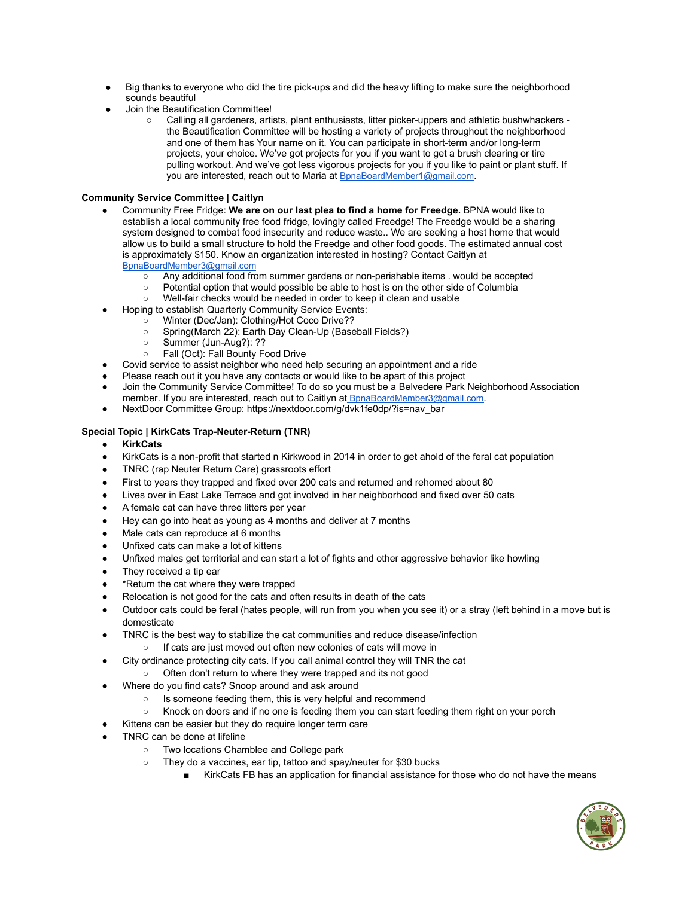- Big thanks to everyone who did the tire pick-ups and did the heavy lifting to make sure the neighborhood sounds beautiful
- Join the Beautification Committee!
	- Calling all gardeners, artists, plant enthusiasts, litter picker-uppers and athletic bushwhackers the Beautification Committee will be hosting a variety of projects throughout the neighborhood and one of them has Your name on it. You can participate in short-term and/or long-term projects, your choice. We've got projects for you if you want to get a brush clearing or tire pulling workout. And we've got less vigorous projects for you if you like to paint or plant stuff. If you are interested, reach out to Maria at [BpnaBoardMember1@gmail.com](mailto:bpnaboardmember2@gmail.com).

## **Community Service Committee | Caitlyn**

- Community Free Fridge: **We are on our last plea to find a home for Freedge.** BPNA would like to establish a local community free food fridge, lovingly called Freedge! The Freedge would be a sharing system designed to combat food insecurity and reduce waste.. We are seeking a host home that would allow us to build a small structure to hold the Freedge and other food goods. The estimated annual cost is approximately \$150. Know an organization interested in hosting? Contact Caitlyn at [BpnaBoardMember3@gmail.com](mailto:BpnaBoardMember3@gmail.com)
	- Any additional food from summer gardens or non-perishable items . would be accepted
	- Potential option that would possible be able to host is on the other side of Columbia
	- Well-fair checks would be needed in order to keep it clean and usable
- Hoping to establish Quarterly Community Service Events:
	- Winter (Dec/Jan): Clothing/Hot Coco Drive??
	- Spring(March 22): Earth Day Clean-Up (Baseball Fields?)
	- Summer (Jun-Aug?): ??
	- Fall (Oct): Fall Bounty Food Drive
- Covid service to assist neighbor who need help securing an appointment and a ride
- Please reach out it you have any contacts or would like to be apart of this project
- Join the Community Service Committee! To do so you must be a Belvedere Park [Neighborhood](https://www.belvederepark.org/association-memberships) Association [member](https://www.belvederepark.org/association-memberships). If you are interested, reach out to Caitlyn at [BpnaBoardMember3@gmail.com](mailto:BpnaBoardMember3@gmail.com).
- NextDoor Committee Group: https://nextdoor.com/g/dvk1fe0dp/?is=nav\_bar

#### **Special Topic | KirkCats Trap-Neuter-Return (TNR)**

- **KirkCats**
- KirkCats is a non-profit that started n Kirkwood in 2014 in order to get ahold of the feral cat population
- TNRC (rap Neuter Return Care) grassroots effort
- First to years they trapped and fixed over 200 cats and returned and rehomed about 80
- Lives over in East Lake Terrace and got involved in her neighborhood and fixed over 50 cats
- A female cat can have three litters per year
- Hey can go into heat as young as 4 months and deliver at 7 months
- Male cats can reproduce at 6 months
- Unfixed cats can make a lot of kittens
- Unfixed males get territorial and can start a lot of fights and other aggressive behavior like howling
- They received a tip ear
- \*Return the cat where they were trapped
- Relocation is not good for the cats and often results in death of the cats
- Outdoor cats could be feral (hates people, will run from you when you see it) or a stray (left behind in a move but is domesticate
- TNRC is the best way to stabilize the cat communities and reduce disease/infection
	- If cats are just moved out often new colonies of cats will move in
- City ordinance protecting city cats. If you call animal control they will TNR the cat
	- Often don't return to where they were trapped and its not good
- Where do you find cats? Snoop around and ask around
	- Is someone feeding them, this is very helpful and recommend
	- Knock on doors and if no one is feeding them you can start feeding them right on your porch
	- Kittens can be easier but they do require longer term care
- TNRC can be done at lifeline
	- Two locations Chamblee and College park
	- They do a vaccines, ear tip, tattoo and spay/neuter for \$30 bucks
		- KirkCats FB has an application for financial assistance for those who do not have the means

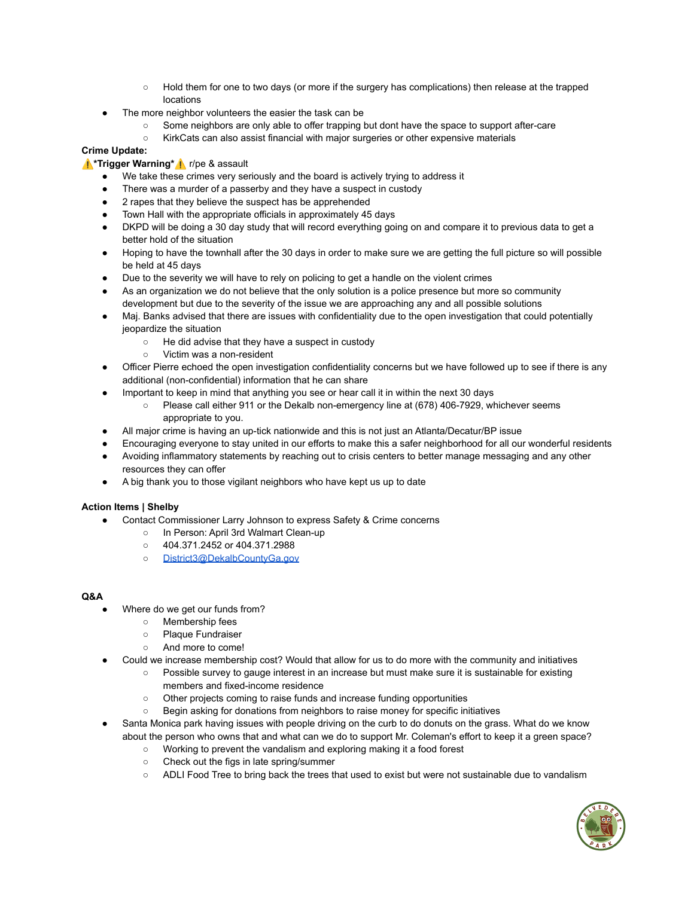- Hold them for one to two days (or more if the surgery has complications) then release at the trapped locations
- The more neighbor volunteers the easier the task can be
	- Some neighbors are only able to offer trapping but dont have the space to support after-care
	- KirkCats can also assist financial with major surgeries or other expensive materials

# **Crime Update:**

# ⚠️**\*Trigger Warning\***⚠️ r/pe & assault

- We take these crimes very seriously and the board is actively trying to address it
- There was a murder of a passerby and they have a suspect in custody
- 2 rapes that they believe the suspect has be apprehended
- Town Hall with the appropriate officials in approximately 45 days
- DKPD will be doing a 30 day study that will record everything going on and compare it to previous data to get a better hold of the situation
- Hoping to have the townhall after the 30 days in order to make sure we are getting the full picture so will possible be held at 45 days
- Due to the severity we will have to rely on policing to get a handle on the violent crimes
- As an organization we do not believe that the only solution is a police presence but more so community development but due to the severity of the issue we are approaching any and all possible solutions
- Maj. Banks advised that there are issues with confidentiality due to the open investigation that could potentially jeopardize the situation
	- He did advise that they have a suspect in custody
	- Victim was a non-resident
- Officer Pierre echoed the open investigation confidentiality concerns but we have followed up to see if there is any additional (non-confidential) information that he can share
- Important to keep in mind that anything you see or hear call it in within the next 30 days
	- Please call either 911 or the Dekalb non-emergency line at (678) 406-7929, whichever seems appropriate to you.
- All major crime is having an up-tick nationwide and this is not just an Atlanta/Decatur/BP issue
- Encouraging everyone to stay united in our efforts to make this a safer neighborhood for all our wonderful residents
- Avoiding inflammatory statements by reaching out to crisis centers to better manage messaging and any other resources they can offer
- A big thank you to those vigilant neighbors who have kept us up to date

# **Action Items | Shelby**

- Contact Commissioner Larry Johnson to express Safety & Crime concerns
	- In Person: April 3rd Walmart Clean-up
	- 404.371.2452 or 404.371.2988
	- o [District3@DekalbCountyGa.gov](mailto:District3@DekalbCountyGa.gov)

# **Q&A**

- Where do we get our funds from?
	- Membership fees
	- Plaque Fundraiser
	- And more to come!
- Could we increase membership cost? Would that allow for us to do more with the community and initiatives
	- Possible survey to gauge interest in an increase but must make sure it is sustainable for existing members and fixed-income residence
	- Other projects coming to raise funds and increase funding opportunities
	- Begin asking for donations from neighbors to raise money for specific initiatives
- Santa Monica park having issues with people driving on the curb to do donuts on the grass. What do we know about the person who owns that and what can we do to support Mr. Coleman's effort to keep it a green space?
	- Working to prevent the vandalism and exploring making it a food forest
	- Check out the figs in late spring/summer
	- ADLI Food Tree to bring back the trees that used to exist but were not sustainable due to vandalism